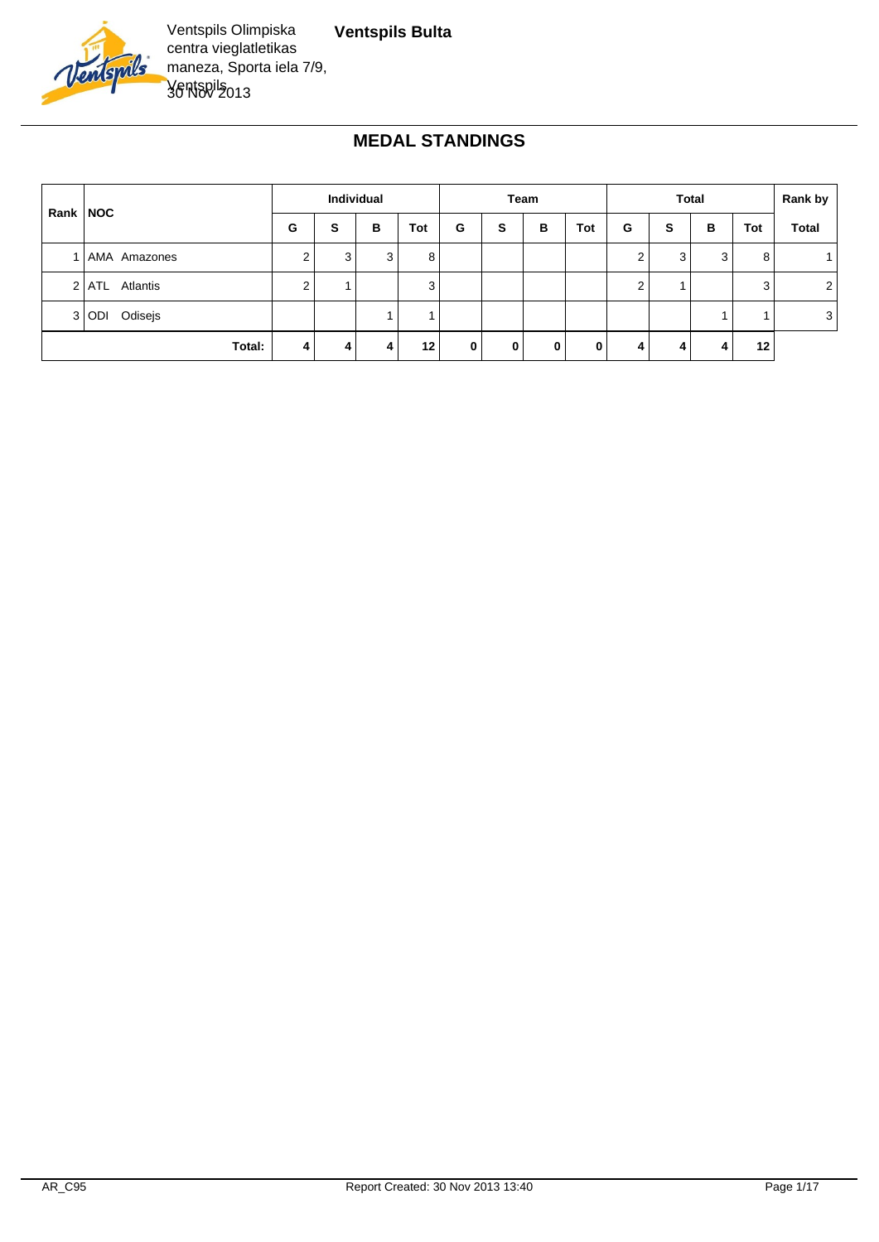

# **MEDAL STANDINGS**

|            |                  | <b>Individual</b> |   |   | Team |   |   | <b>Total</b> |              |   |   | Rank by |     |                |
|------------|------------------|-------------------|---|---|------|---|---|--------------|--------------|---|---|---------|-----|----------------|
| Rank   NOC |                  | G                 | S | в | Tot  | G | s | в            | Tot          | G | S | в       | Tot | <b>Total</b>   |
|            | 1   AMA Amazones | 2                 | 3 | 3 | 8    |   |   |              |              | ◠ | 3 | 3       | 8   |                |
|            | 2 ATL Atlantis   | 2                 |   |   | 3    |   |   |              |              | ◠ |   |         | 3   | 2              |
|            | 3 ODI Odisejs    |                   |   |   |      |   |   |              |              |   |   |         |     | 3 <sub>1</sub> |
|            | Total:           | 4                 | 4 | 4 | 12   | 0 | 0 | $\mathbf{0}$ | $\mathbf{0}$ |   |   | 4       | 12  |                |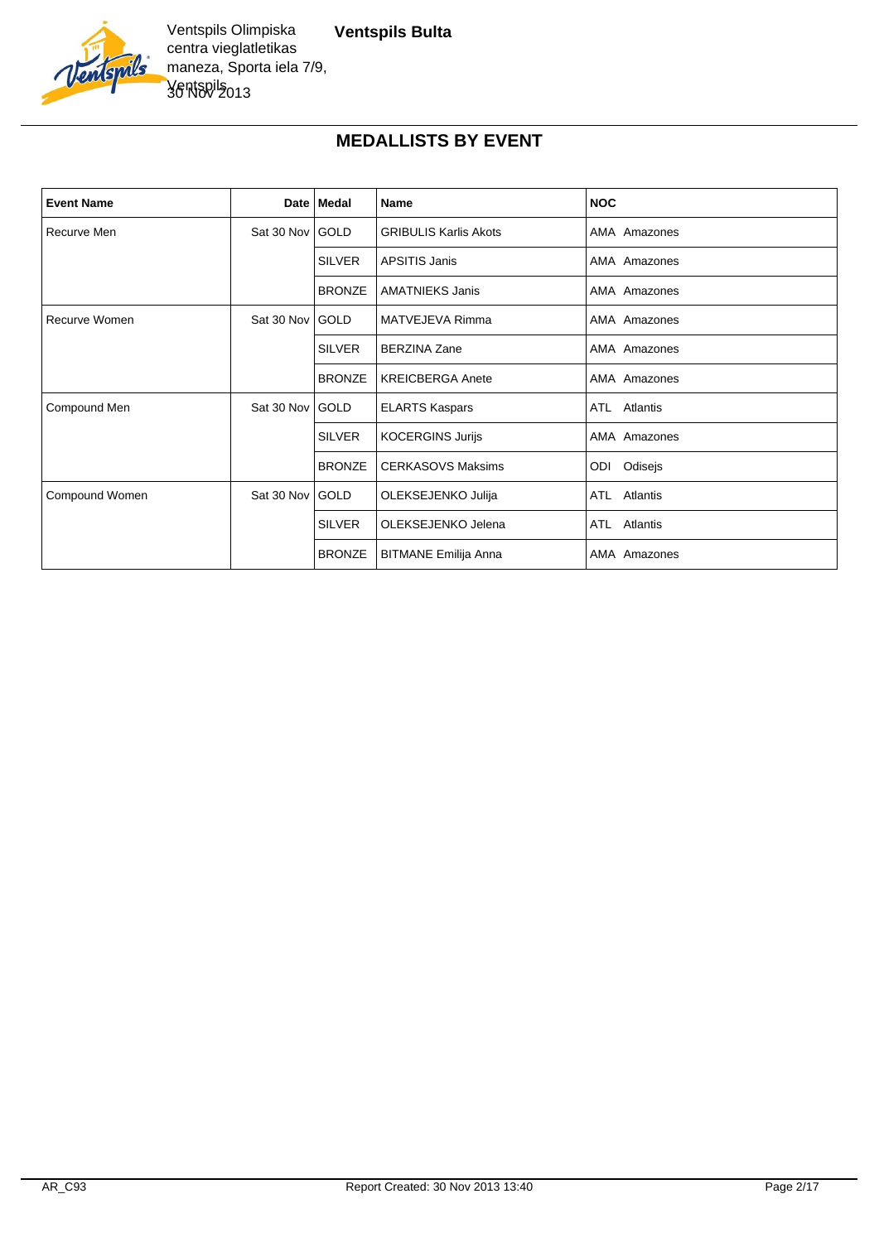

#### **MEDALLISTS BY EVENT**

| <b>Event Name</b> |                 | Date Medal    | Name                         | <b>NOC</b>      |
|-------------------|-----------------|---------------|------------------------------|-----------------|
| Recurve Men       | Sat 30 Nov GOLD |               | <b>GRIBULIS Karlis Akots</b> | AMA Amazones    |
|                   |                 | <b>SILVER</b> | <b>APSITIS Janis</b>         | AMA Amazones    |
|                   |                 | <b>BRONZE</b> | <b>AMATNIEKS Janis</b>       | AMA Amazones    |
| Recurve Women     | Sat 30 Nov GOLD |               | MATVEJEVA Rimma              | AMA Amazones    |
|                   |                 | <b>SILVER</b> | <b>BERZINA Zane</b>          | AMA Amazones    |
|                   |                 | <b>BRONZE</b> | <b>KREICBERGA Anete</b>      | AMA Amazones    |
| Compound Men      | Sat 30 Nov GOLD |               | <b>ELARTS Kaspars</b>        | ATL Atlantis    |
|                   |                 | <b>SILVER</b> | <b>KOCERGINS Jurijs</b>      | AMA Amazones    |
|                   |                 | <b>BRONZE</b> | <b>CERKASOVS Maksims</b>     | Odisejs<br>ODI  |
| Compound Women    | Sat 30 Nov      | GOLD          | OLEKSEJENKO Julija           | ATL Atlantis    |
|                   |                 | <b>SILVER</b> | OLEKSEJENKO Jelena           | ATL<br>Atlantis |
|                   |                 | <b>BRONZE</b> | <b>BITMANE Emilija Anna</b>  | AMA Amazones    |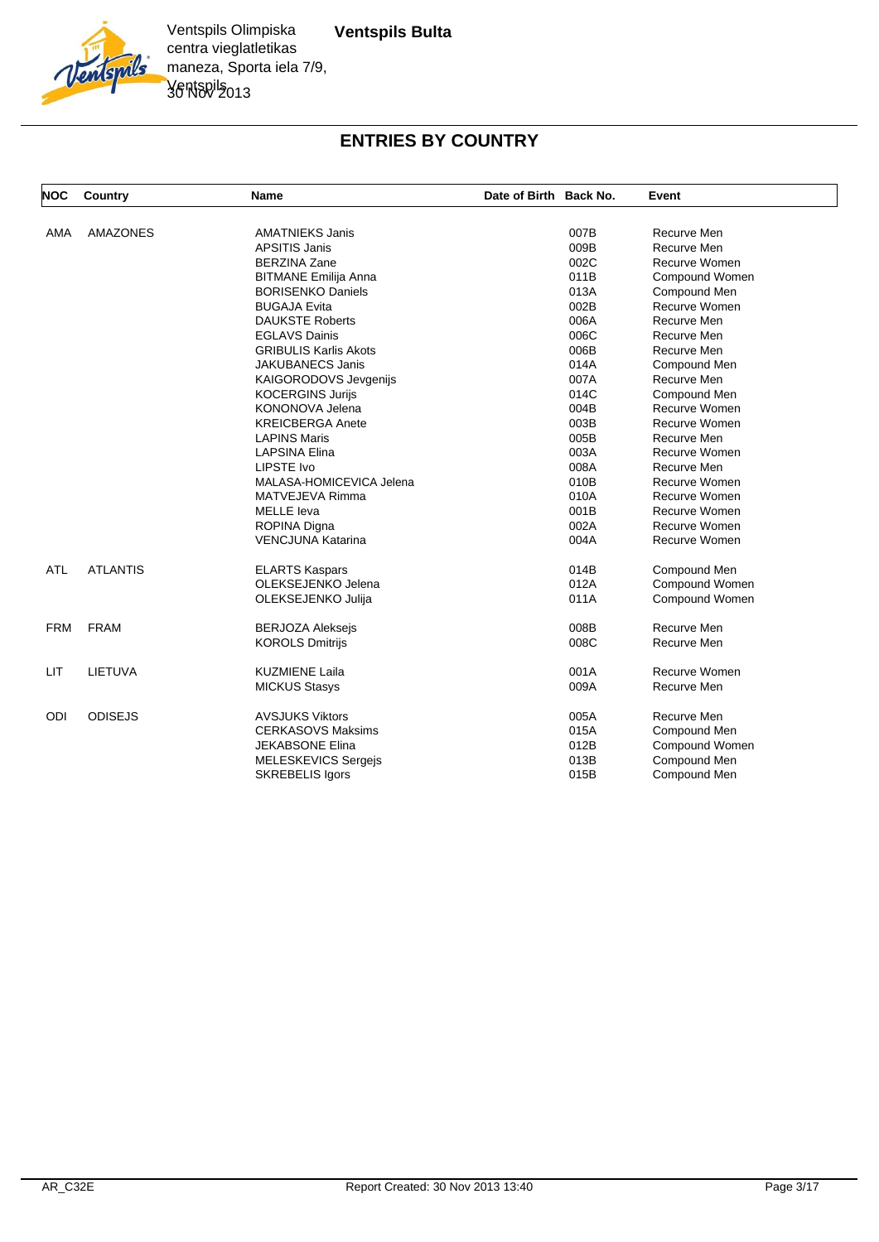

#### **ENTRIES BY COUNTRY**

| <b>NOC</b> | Country         | <b>Name</b>                  | Date of Birth Back No. | Event          |
|------------|-----------------|------------------------------|------------------------|----------------|
| AMA        | <b>AMAZONES</b> | <b>AMATNIEKS Janis</b>       | 007B                   | Recurve Men    |
|            |                 | <b>APSITIS Janis</b>         | 009B                   | Recurve Men    |
|            |                 | <b>BERZINA Zane</b>          | 002C                   | Recurve Women  |
|            |                 | <b>BITMANE Emilija Anna</b>  | 011B                   | Compound Women |
|            |                 | <b>BORISENKO Daniels</b>     | 013A                   | Compound Men   |
|            |                 | <b>BUGAJA Evita</b>          | 002B                   | Recurve Women  |
|            |                 | <b>DAUKSTE Roberts</b>       | 006A                   | Recurve Men    |
|            |                 | <b>EGLAVS Dainis</b>         | 006C                   | Recurve Men    |
|            |                 | <b>GRIBULIS Karlis Akots</b> | 006B                   | Recurve Men    |
|            |                 | <b>JAKUBANECS Janis</b>      | 014A                   | Compound Men   |
|            |                 | KAIGORODOVS Jevgenijs        | 007A                   | Recurve Men    |
|            |                 | <b>KOCERGINS Jurijs</b>      | 014C                   | Compound Men   |
|            |                 | KONONOVA Jelena              | 004B                   | Recurve Women  |
|            |                 | <b>KREICBERGA Anete</b>      | 003B                   | Recurve Women  |
|            |                 | <b>LAPINS Maris</b>          | 005B                   | Recurve Men    |
|            |                 | <b>LAPSINA Elina</b>         | 003A                   | Recurve Women  |
|            |                 | LIPSTE Ivo                   | 008A                   | Recurve Men    |
|            |                 | MALASA-HOMICEVICA Jelena     | 010B                   | Recurve Women  |
|            |                 | MATVEJEVA Rimma              | 010A                   | Recurve Women  |
|            |                 | <b>MELLE</b> leva            | 001B                   | Recurve Women  |
|            |                 | ROPINA Digna                 | 002A                   | Recurve Women  |
|            |                 | <b>VENCJUNA Katarina</b>     | 004A                   | Recurve Women  |
| <b>ATL</b> | <b>ATLANTIS</b> | <b>ELARTS Kaspars</b>        | 014B                   | Compound Men   |
|            |                 | OLEKSEJENKO Jelena           | 012A                   | Compound Women |
|            |                 | OLEKSEJENKO Julija           | 011A                   | Compound Women |
| <b>FRM</b> | <b>FRAM</b>     | <b>BERJOZA Aleksejs</b>      | 008B                   | Recurve Men    |
|            |                 | <b>KOROLS Dmitrijs</b>       | 008C                   | Recurve Men    |
| LIT        | LIETUVA         | <b>KUZMIENE Laila</b>        | 001A                   | Recurve Women  |
|            |                 | <b>MICKUS Stasys</b>         | 009A                   | Recurve Men    |
| ODI        | <b>ODISEJS</b>  | <b>AVSJUKS Viktors</b>       | 005A                   | Recurve Men    |
|            |                 | <b>CERKASOVS Maksims</b>     | 015A                   | Compound Men   |
|            |                 | <b>JEKABSONE Elina</b>       | 012B                   | Compound Women |
|            |                 | MELESKEVICS Sergejs          | 013B                   | Compound Men   |
|            |                 | <b>SKREBELIS Igors</b>       | 015B                   | Compound Men   |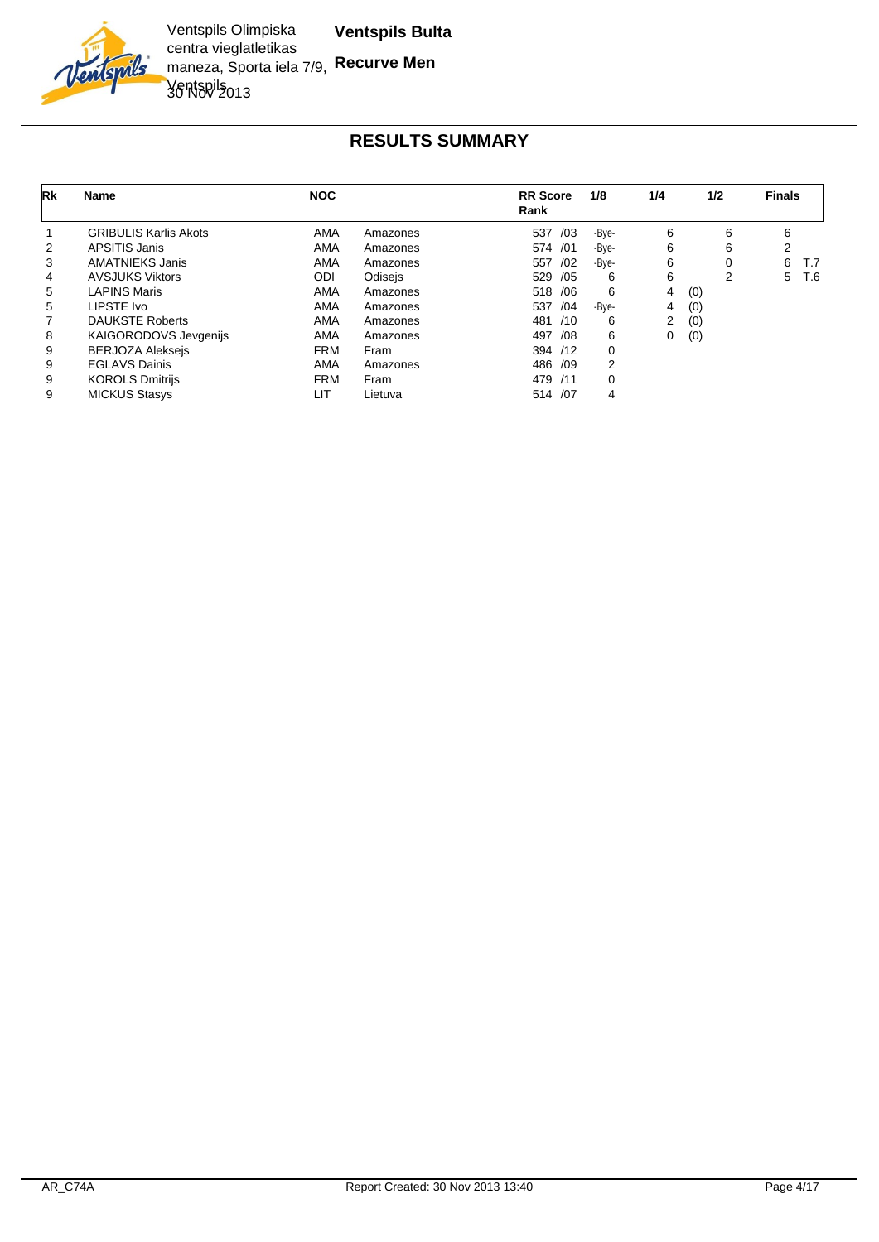

| Rk | <b>Name</b>                  | <b>NOC</b> |          | <b>RR</b> Score<br>Rank | 1/8   | 1/4 | 1/2 | <b>Finals</b> |     |
|----|------------------------------|------------|----------|-------------------------|-------|-----|-----|---------------|-----|
|    | <b>GRIBULIS Karlis Akots</b> | AMA        | Amazones | /03<br>537              | -Bve- | 6   | 6   | 6             |     |
| 2  | <b>APSITIS Janis</b>         | <b>AMA</b> | Amazones | 574 /01                 | -Bve- | 6   | 6   | 2             |     |
| 3  | <b>AMATNIEKS Janis</b>       | AMA        | Amazones | 557<br>/02              | -Bye- | 6   |     | 6<br>T.7      |     |
| 4  | <b>AVSJUKS Viktors</b>       | ODI        | Odisejs  | 529 /05                 | 6     | 6   | 2   | 5             | T.6 |
| 5  | <b>LAPINS Maris</b>          | AMA        | Amazones | 518 / 06                | 6     | 4   | (0) |               |     |
| 5  | LIPSTE Ivo                   | <b>AMA</b> | Amazones | 537<br>/04              | -Bve- | 4   | (0) |               |     |
|    | <b>DAUKSTE Roberts</b>       | <b>AMA</b> | Amazones | 481<br>/10              | 6     | 2   | (0) |               |     |
| 8  | <b>KAIGORODOVS Jevgenijs</b> | <b>AMA</b> | Amazones | 497<br>/08              | 6     | 0   | (0) |               |     |
| 9  | <b>BERJOZA Alekseis</b>      | <b>FRM</b> | Fram     | 394 /12                 | 0     |     |     |               |     |
| 9  | <b>EGLAVS Dainis</b>         | <b>AMA</b> | Amazones | 486 /09                 | 2     |     |     |               |     |
| 9  | <b>KOROLS Dmitrijs</b>       | <b>FRM</b> | Fram     | 479 /11                 | 0     |     |     |               |     |
| 9  | <b>MICKUS Stasys</b>         | LIT        | Lietuva  | 514 /07                 | 4     |     |     |               |     |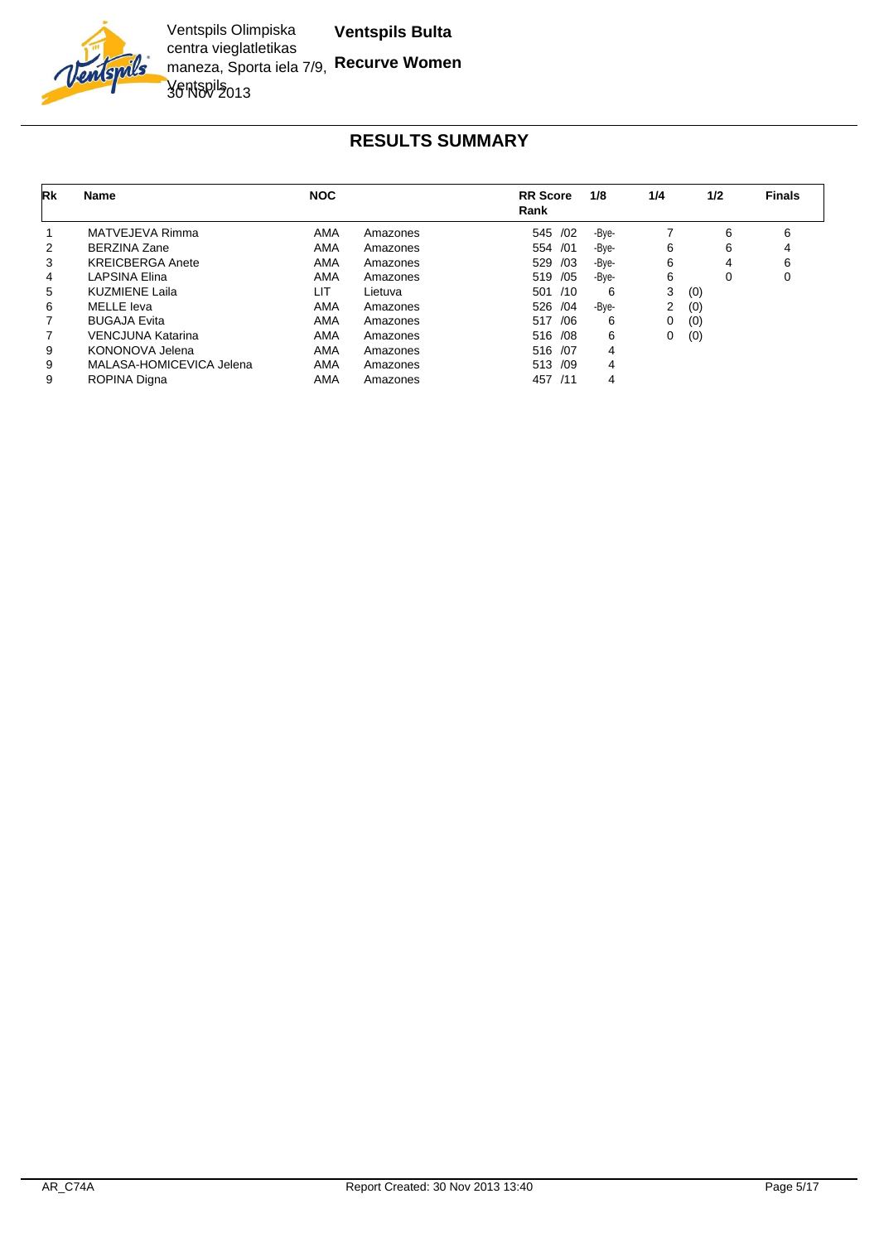

| Rk | <b>Name</b>              | <b>NOC</b> |          | <b>RR</b> Score<br>Rank | 1/8   | 1/4            | 1/2 | <b>Finals</b> |
|----|--------------------------|------------|----------|-------------------------|-------|----------------|-----|---------------|
|    | MATVEJEVA Rimma          | AMA        | Amazones | 545 /02                 | -Bye- |                | 6   | 6             |
| 2  | <b>BERZINA Zane</b>      | AMA        | Amazones | 554 /01                 | -Bve- | 6              | 6   | 4             |
| 3  | <b>KREICBERGA Anete</b>  | AMA        | Amazones | 529<br>/03              | -Bve- | 6              | 4   | 6             |
| 4  | <b>LAPSINA Elina</b>     | AMA        | Amazones | 519 /05                 | -Bve- | 6              | 0   | 0             |
| 5  | <b>KUZMIENE Laila</b>    | LIT        | Lietuva  | 501 /10                 | 6     | 3              | (0) |               |
| 6  | MELLE leva               | AMA        | Amazones | 526 /04                 | -Bve- | $\overline{2}$ | (0) |               |
|    | <b>BUGAJA Evita</b>      | AMA        | Amazones | 517 /06                 | 6     | 0              | (0) |               |
|    | <b>VENCJUNA Katarina</b> | AMA        | Amazones | 516 /08                 | 6     | 0              | (0) |               |
| 9  | KONONOVA Jelena          | AMA        | Amazones | 516 /07                 | 4     |                |     |               |
| 9  | MALASA-HOMICEVICA Jelena | AMA        | Amazones | 513 /09                 | 4     |                |     |               |
| 9  | ROPINA Digna             | AMA        | Amazones | 457 /11                 | 4     |                |     |               |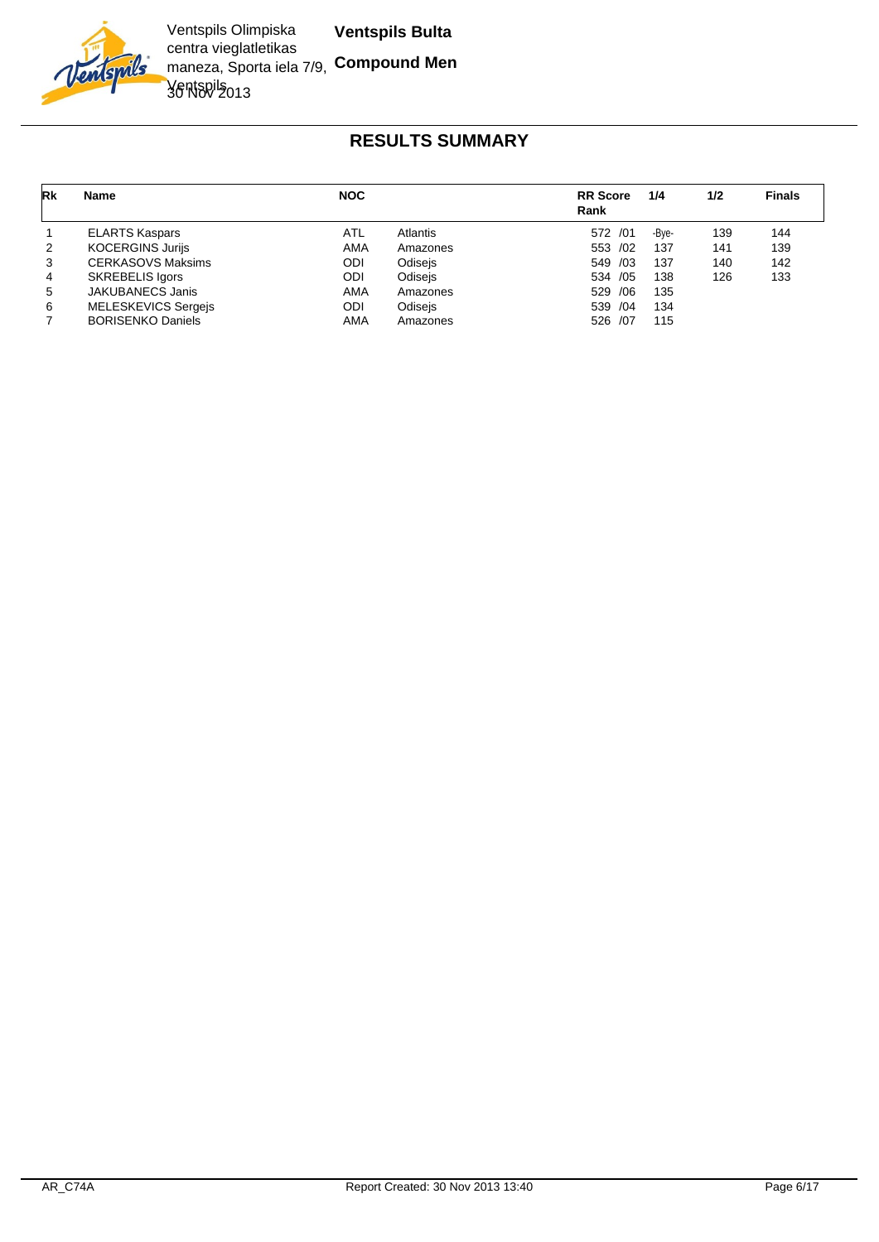

| Rk | <b>Name</b>                | <b>NOC</b> |          | <b>RR</b> Score<br>Rank | 1/4   | 1/2 | <b>Finals</b> |
|----|----------------------------|------------|----------|-------------------------|-------|-----|---------------|
| -1 | <b>ELARTS Kaspars</b>      | ATL        | Atlantis | 572 /01                 | -Bve- | 139 | 144           |
| 2  | <b>KOCERGINS Jurijs</b>    | AMA        | Amazones | 553 /02                 | 137   | 141 | 139           |
| 3  | <b>CERKASOVS Maksims</b>   | ODI        | Odisejs  | 549 /03                 | 137   | 140 | 142           |
| 4  | <b>SKREBELIS Igors</b>     | ODI        | Odisejs  | 534 /05                 | 138   | 126 | 133           |
| 5  | <b>JAKUBANECS Janis</b>    | AMA        | Amazones | 529 / 06                | 135   |     |               |
| 6  | <b>MELESKEVICS Sergejs</b> | ODI        | Odisejs  | 539 /04                 | 134   |     |               |
|    | <b>BORISENKO Daniels</b>   | AMA        | Amazones | 526 /07                 | 115   |     |               |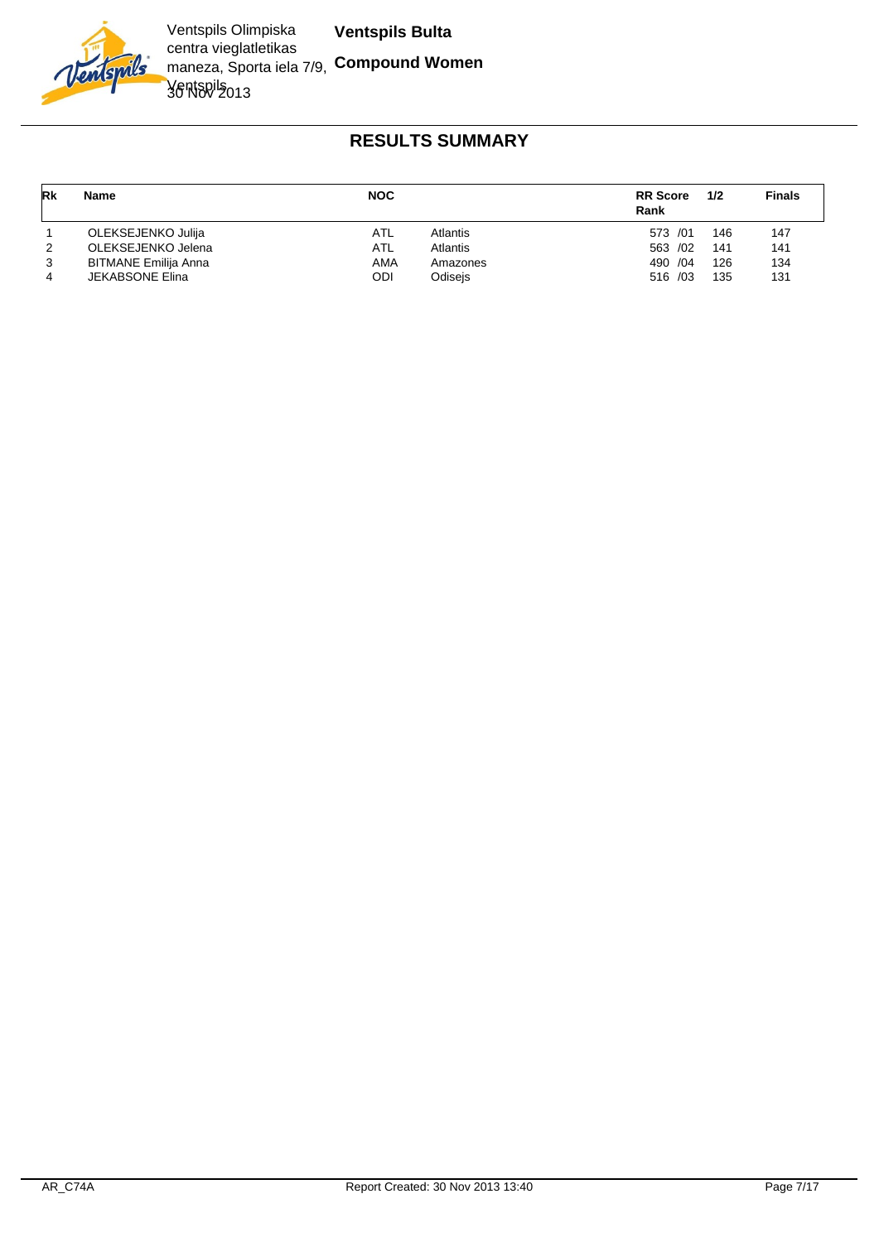

| Rk             | Name                        | <b>NOC</b> |          | <b>RR</b> Score<br>Rank | 1/2 | <b>Finals</b> |
|----------------|-----------------------------|------------|----------|-------------------------|-----|---------------|
|                | OLEKSEJENKO Julija          | ATL        | Atlantis | 573 /01                 | 146 | 147           |
| 2              | OLEKSEJENKO Jelena          | ATL        | Atlantis | 563 /02                 | 141 | 141           |
| 3              | <b>BITMANE Emilija Anna</b> | AMA        | Amazones | 490 / 04                | 126 | 134           |
| $\overline{4}$ | <b>JEKABSONE Elina</b>      | ODI        | Odisejs  | $516 \ \ 03$            | 135 | 131           |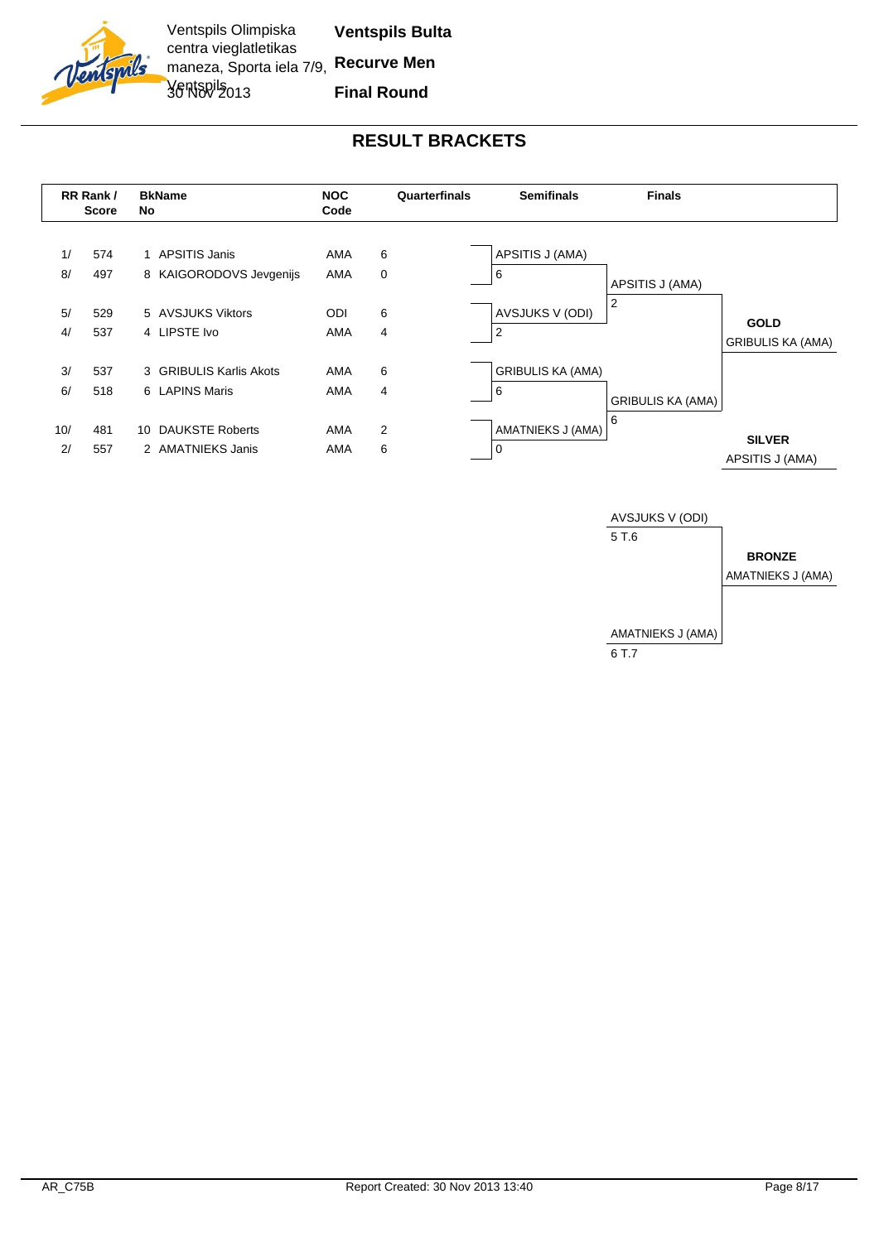



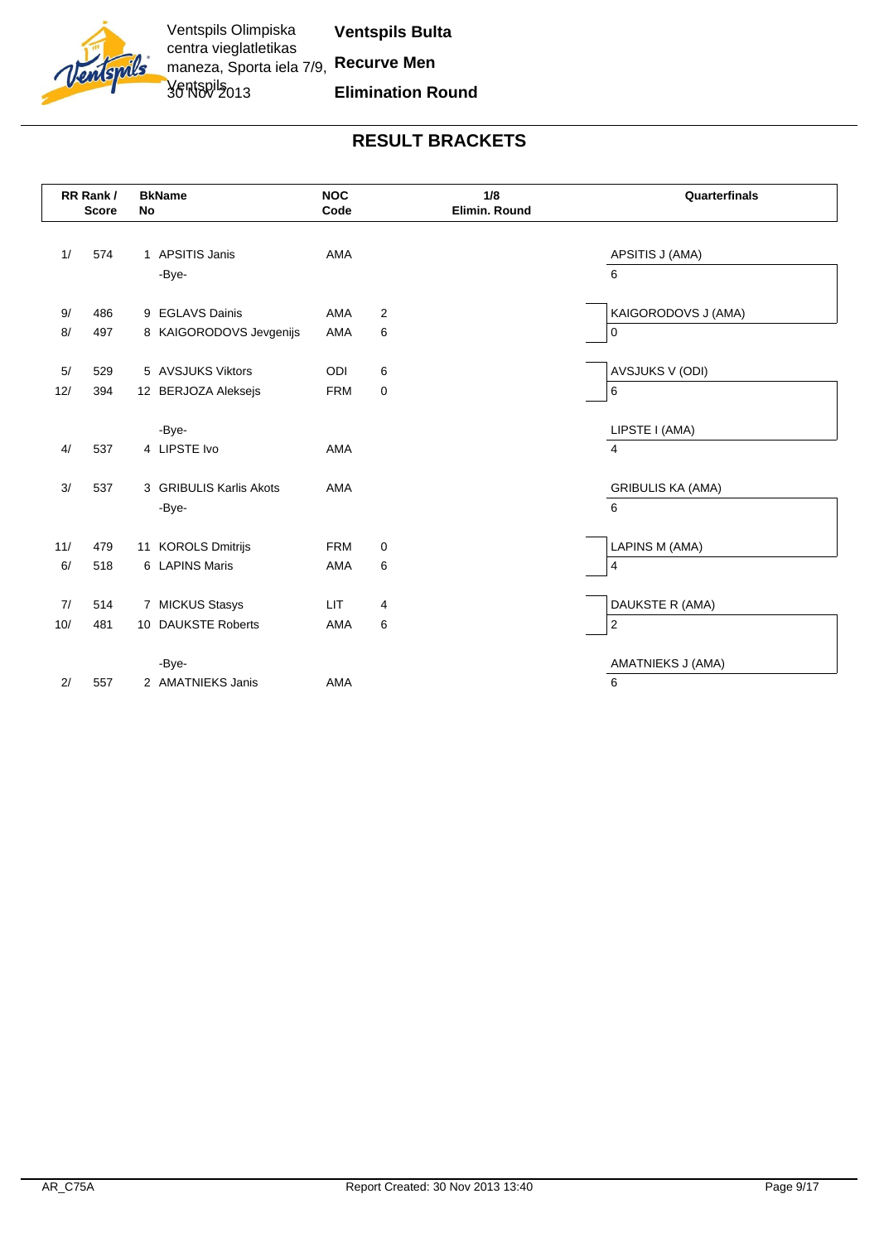

|     | RR Rank/<br><b>Score</b> | No | <b>BkName</b>           | <b>NOC</b><br>Code |   | 1/8<br>Elimin. Round | Quarterfinals            |
|-----|--------------------------|----|-------------------------|--------------------|---|----------------------|--------------------------|
|     |                          |    |                         |                    |   |                      |                          |
| 1/  | 574                      |    | 1 APSITIS Janis         | <b>AMA</b>         |   |                      | APSITIS J (AMA)          |
|     |                          |    | -Bye-                   |                    |   |                      | 6                        |
|     |                          |    |                         |                    |   |                      |                          |
| 9/  | 486                      |    | 9 EGLAVS Dainis         | AMA                | 2 |                      | KAIGORODOVS J (AMA)      |
| 8/  | 497                      |    | 8 KAIGORODOVS Jevgenijs | AMA                | 6 |                      | $\mathbf 0$              |
|     |                          |    |                         |                    |   |                      |                          |
| 5/  | 529                      |    | 5 AVSJUKS Viktors       | ODI                | 6 |                      | <b>AVSJUKS V (ODI)</b>   |
| 12/ | 394                      |    | 12 BERJOZA Aleksejs     | <b>FRM</b>         | 0 |                      | 6                        |
|     |                          |    |                         |                    |   |                      |                          |
|     |                          |    | -Bye-                   |                    |   |                      | LIPSTE I (AMA)           |
| 4/  | 537                      |    | 4 LIPSTE Ivo            | <b>AMA</b>         |   |                      | $\overline{4}$           |
| 3/  | 537                      |    | 3 GRIBULIS Karlis Akots | <b>AMA</b>         |   |                      | <b>GRIBULIS KA (AMA)</b> |
|     |                          |    |                         |                    |   |                      |                          |
|     |                          |    | -Bye-                   |                    |   |                      | 6                        |
| 11/ | 479                      |    | 11 KOROLS Dmitrijs      | <b>FRM</b>         | 0 |                      | LAPINS M (AMA)           |
| 6/  | 518                      |    | 6 LAPINS Maris          | <b>AMA</b>         | 6 |                      | $\overline{4}$           |
|     |                          |    |                         |                    |   |                      |                          |
| 7/  | 514                      |    | 7 MICKUS Stasys         | <b>LIT</b>         | 4 |                      | DAUKSTE R (AMA)          |
| 10/ | 481                      |    | 10 DAUKSTE Roberts      | <b>AMA</b>         | 6 |                      | $\overline{2}$           |
|     |                          |    |                         |                    |   |                      |                          |
|     |                          |    | -Bye-                   |                    |   |                      | AMATNIEKS J (AMA)        |
| 2/  | 557                      |    | 2 AMATNIEKS Janis       | <b>AMA</b>         |   |                      | 6                        |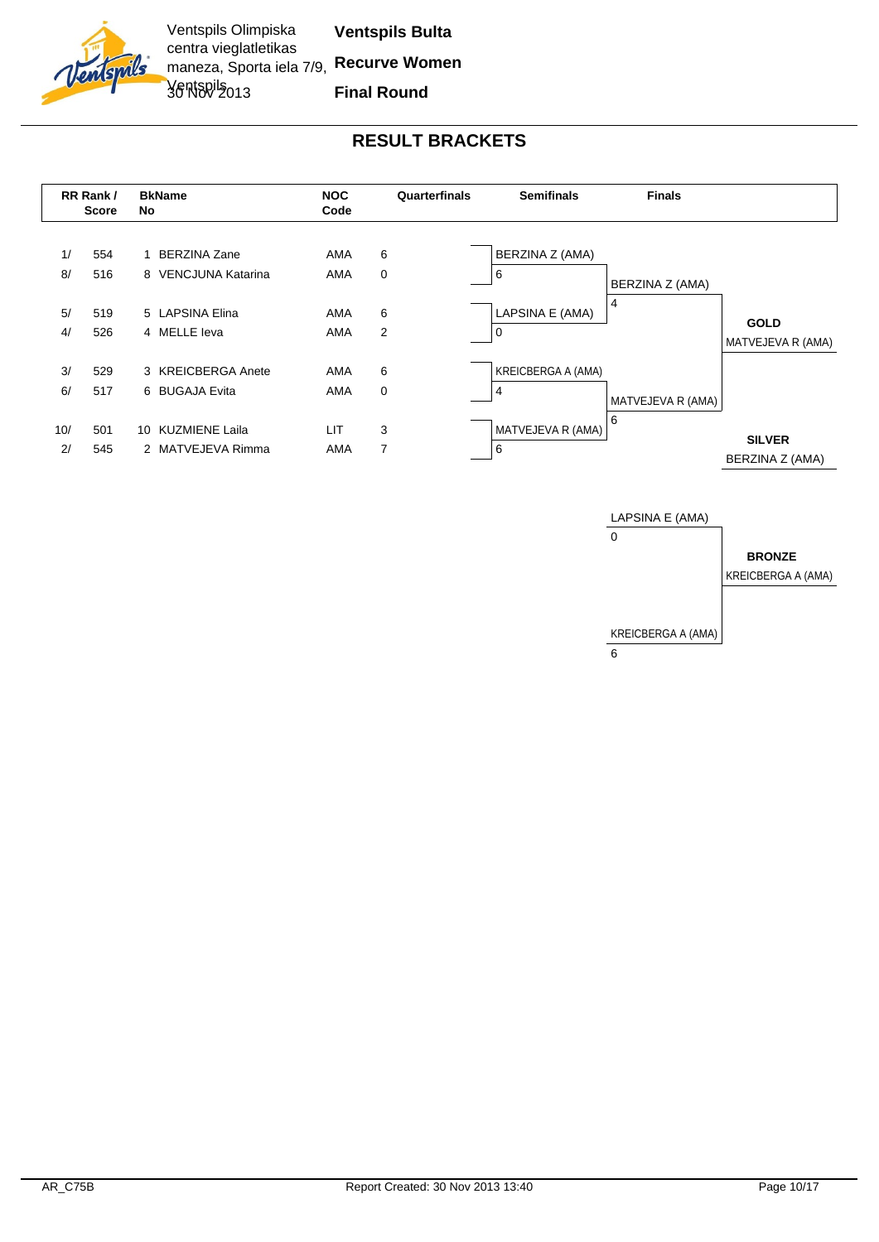



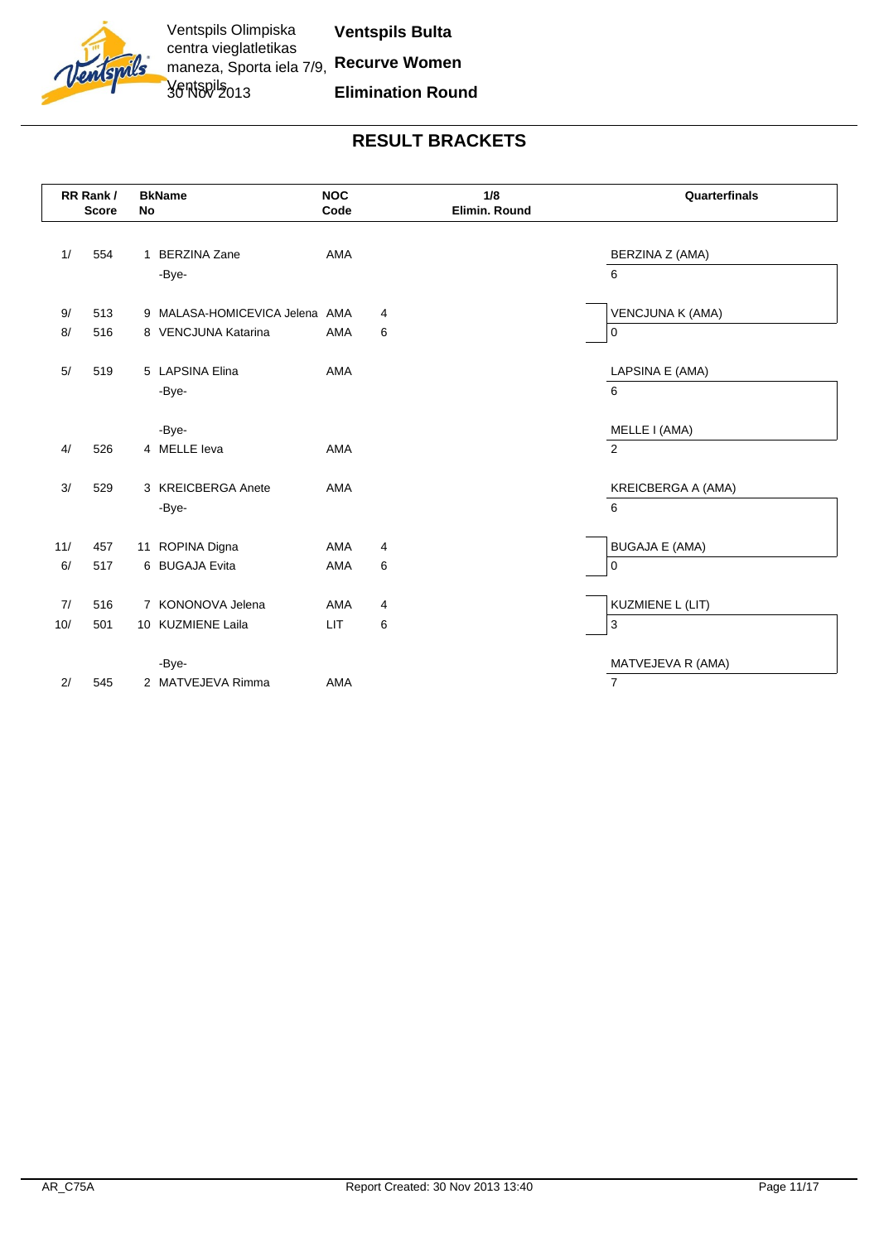

|     | RR Rank/<br><b>Score</b> | <b>No</b> | <b>BkName</b>                  | <b>NOC</b><br>Code | 1/8<br>Elimin. Round | Quarterfinals           |
|-----|--------------------------|-----------|--------------------------------|--------------------|----------------------|-------------------------|
|     |                          |           |                                |                    |                      |                         |
| 1/  | 554                      |           | 1 BERZINA Zane                 | AMA                |                      | BERZINA Z (AMA)         |
|     |                          |           | -Bye-                          |                    |                      | 6                       |
|     |                          |           |                                |                    |                      |                         |
| 9/  | 513                      |           | 9 MALASA-HOMICEVICA Jelena AMA |                    | 4                    | <b>VENCJUNA K (AMA)</b> |
| 8/  | 516                      |           | 8 VENCJUNA Katarina            | AMA                | 6                    | 0                       |
|     |                          |           |                                |                    |                      |                         |
| 5/  | 519                      |           | 5 LAPSINA Elina                | AMA                |                      | LAPSINA E (AMA)         |
|     |                          |           | -Bye-                          |                    |                      | 6                       |
|     |                          |           |                                |                    |                      |                         |
|     |                          |           | -Bye-                          |                    |                      | MELLE I (AMA)           |
| 4/  | 526                      |           | 4 MELLE leva                   | AMA                |                      | 2                       |
|     |                          |           |                                |                    |                      |                         |
| 3/  | 529                      |           | 3 KREICBERGA Anete             | AMA                |                      | KREICBERGA A (AMA)      |
|     |                          |           | -Bye-                          |                    |                      | 6                       |
|     |                          |           |                                |                    |                      |                         |
| 11/ | 457                      |           | 11 ROPINA Digna                | AMA                | 4                    | <b>BUGAJA E (AMA)</b>   |
| 6/  | 517                      |           | 6 BUGAJA Evita                 | AMA                | 6                    | 0                       |
|     |                          |           | 7 KONONOVA Jelena              |                    |                      |                         |
| 7/  | 516                      |           |                                | AMA                | 4                    | <b>KUZMIENE L (LIT)</b> |
| 10/ | 501                      |           | 10 KUZMIENE Laila              | <b>LIT</b>         | 6                    | 3                       |
|     |                          |           |                                |                    |                      |                         |
|     |                          |           | -Bye-                          |                    |                      | MATVEJEVA R (AMA)       |
| 2/  | 545                      |           | 2 MATVEJEVA Rimma              | <b>AMA</b>         |                      | $\overline{7}$          |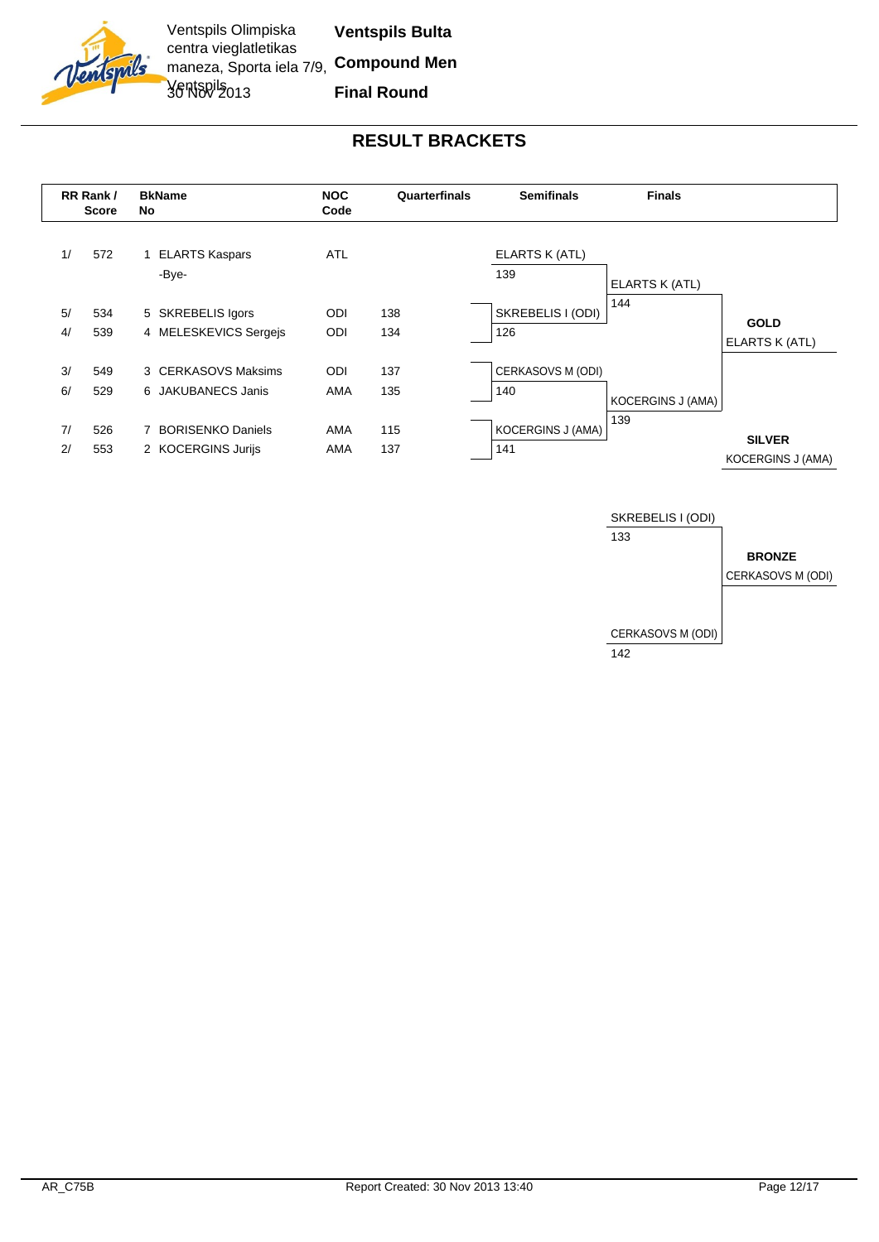



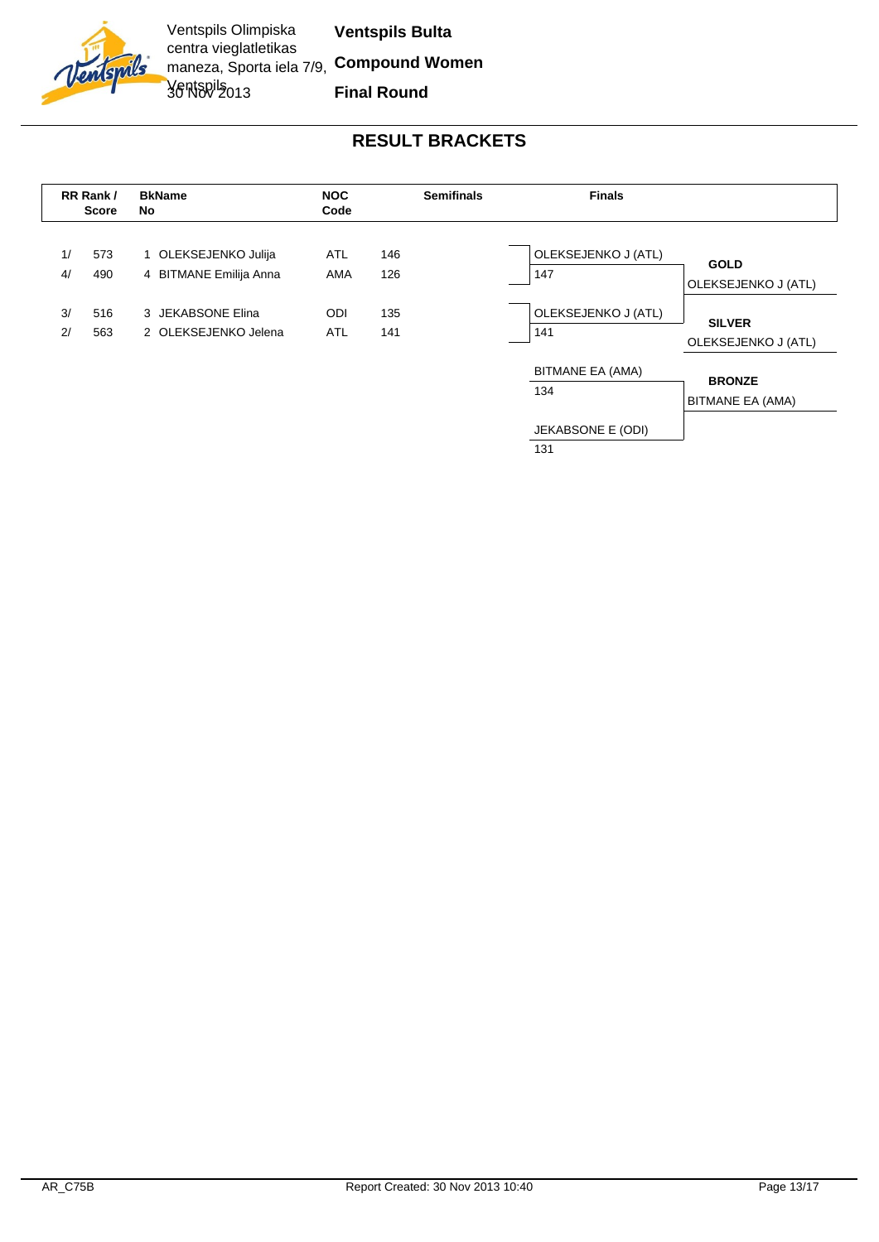

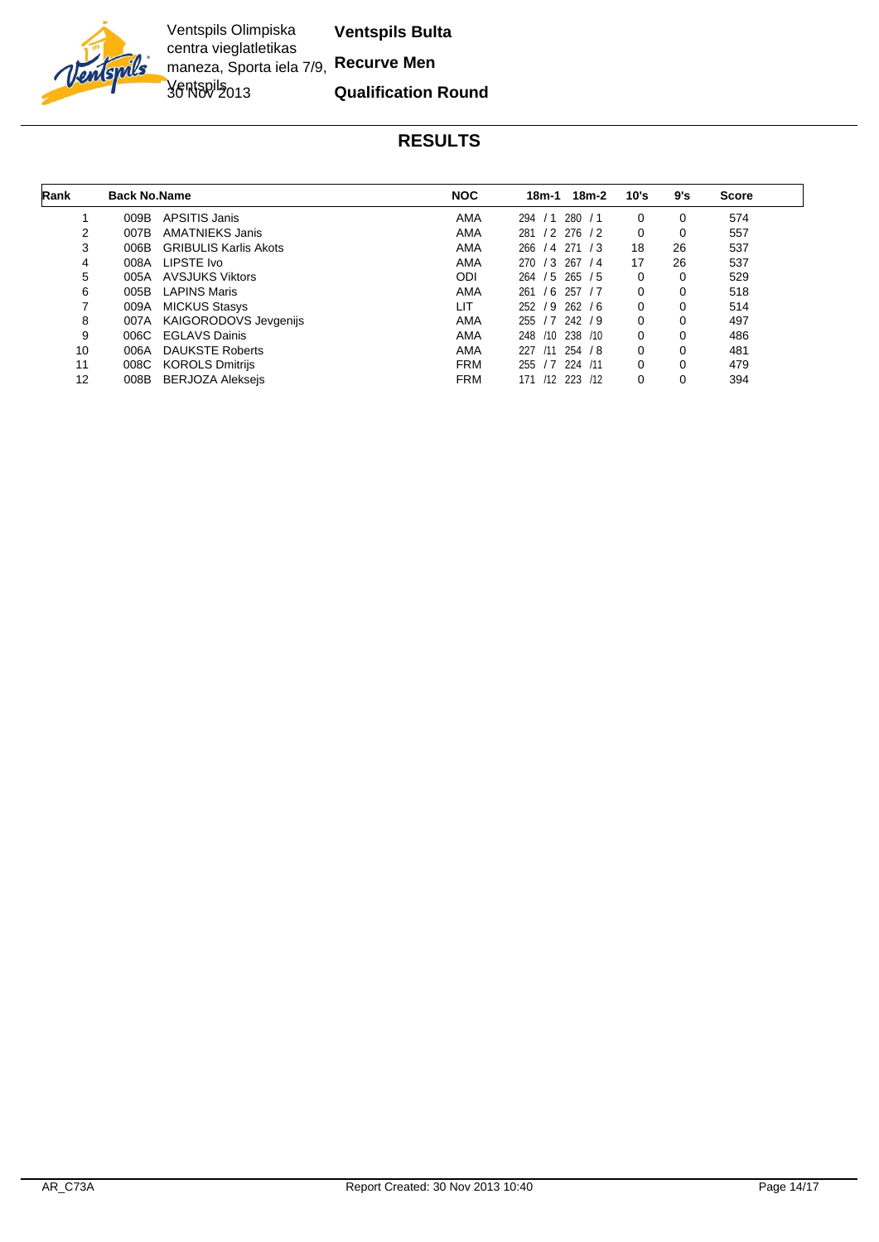

Ventspils Olimpiska centra vieglatletikas maneza, Sporta iela 7/9, **Recurve Men** Ventspils 013

**Ventspils Bulta**

#### **Qualification Round**

| Rank | <b>Back No.Name</b> |                              | <b>NOC</b> | $18m-2$<br>18m-1                      | 10's     | 9's | <b>Score</b> |
|------|---------------------|------------------------------|------------|---------------------------------------|----------|-----|--------------|
|      | 009B                | APSITIS Janis                | AMA        | 280/1<br>294/1                        | $\Omega$ | 0   | 574          |
| 2    | 007B                | AMATNIEKS Janis              | AMA        | 281<br>$/2$ 276 $/2$                  | 0        | 0   | 557          |
| 3    | 006B                | <b>GRIBULIS Karlis Akots</b> | AMA        | 266<br>/4 271<br>/3                   | 18       | 26  | 537          |
| 4    | 008A                | LIPSTE Ivo                   | AMA        | 270 / 3 267 / 4                       | 17       | 26  | 537          |
| 5    | 005A                | <b>AVSJUKS Viktors</b>       | <b>ODI</b> | 264 / 5 265 / 5                       | 0        | 0   | 529          |
| 6    | 005B                | <b>LAPINS Maris</b>          | AMA        | 261<br>/6<br>/7<br>257                | $\Omega$ | 0   | 518          |
|      | 009A                | <b>MICKUS Stasys</b>         | LIT        | 252 / 9 262 / 6                       | $\Omega$ | 0   | 514          |
| 8    | 007A                | KAIGORODOVS Jevgenijs        | AMA        | 255 / 7 242 / 9                       | $\Omega$ |     | 497          |
| 9    | 006C                | <b>EGLAVS Dainis</b>         | AMA        | 238 /10<br>248<br>/10                 | $\Omega$ | 0   | 486          |
| 10   | 006A                | <b>DAUKSTE Roberts</b>       | AMA        | 227<br>$/11$ 254 $/8$                 | 0        |     | 481          |
| 11   | 008C                | KOROLS Dmitrijs              | <b>FRM</b> | .17 <sub>1</sub><br>224<br>/11<br>255 | $\Omega$ | 0   | 479          |
| 12   | 008B                | <b>BERJOZA Alekseis</b>      | <b>FRM</b> | /12<br>223<br>/12<br>171              |          |     | 394          |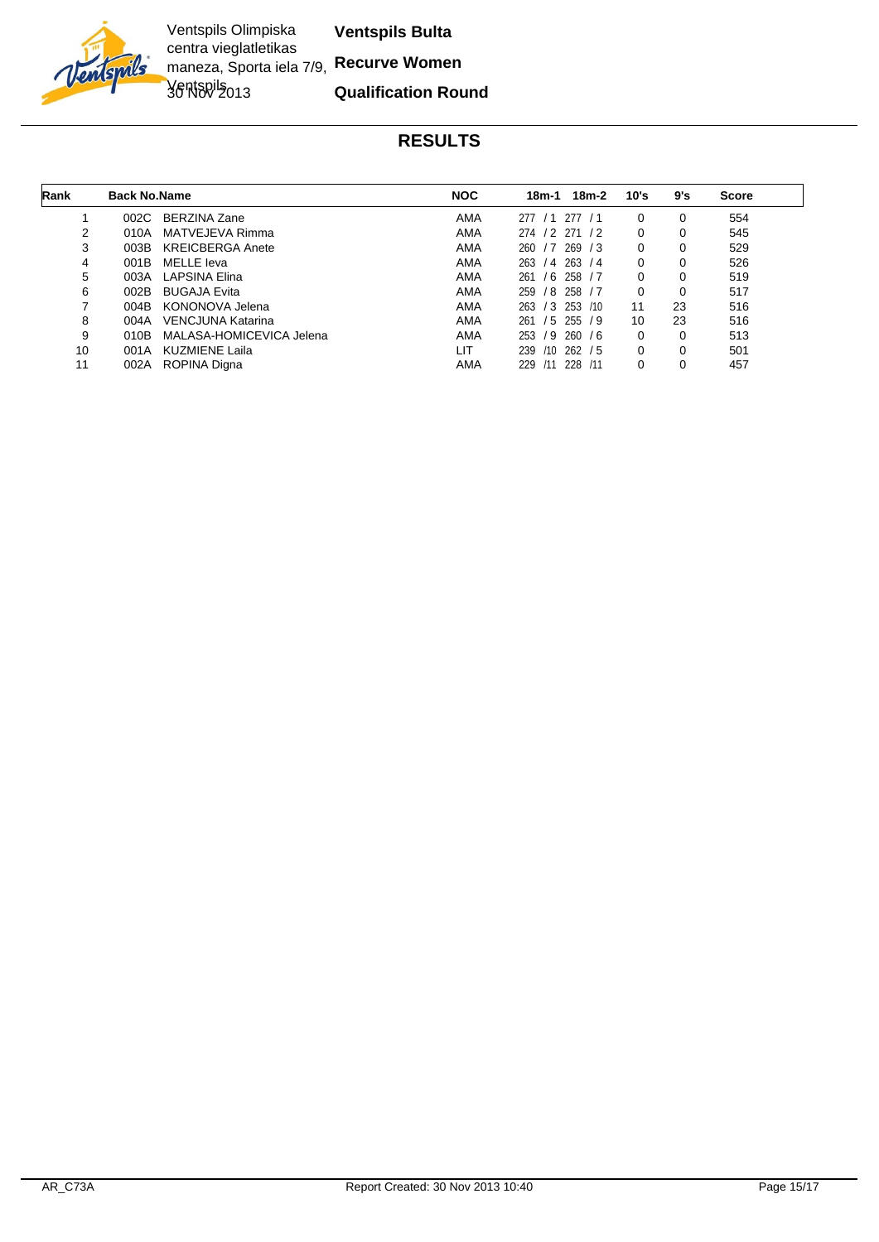

Ventspils Olimpiska centra vieglatletikas maneza, Sporta iela 7/9, **Recurve Women** Ventspils 013

**Ventspils Bulta**

**Qualification Round**

| Rank | <b>Back No.Name</b> |                          | <b>NOC</b> | 18m-2<br>18m-1                         | 10's     | 9's | <b>Score</b> |
|------|---------------------|--------------------------|------------|----------------------------------------|----------|-----|--------------|
|      | 002C                | <b>BERZINA Zane</b>      | <b>AMA</b> | 277<br>277<br>/1<br><u>/1</u>          | $\Omega$ | 0   | 554          |
| 2    | 010A                | MATVEJEVA Rimma          | AMA        | 274 / 2 271<br>$\frac{1}{2}$           | $\Omega$ | 0   | 545          |
| 3    | 003B                | <b>KREICBERGA Anete</b>  | AMA        | 269<br>260<br>$\cdot$ /7<br>$\sqrt{3}$ | $\Omega$ | 0   | 529          |
| 4    | 001B                | MELLE leva               | AMA        | 263 / 4 263<br>/4                      |          | 0   | 526          |
| 5    | 003A                | LAPSINA Elina            | AMA        | $/6$ 258 $/7$<br>261                   |          | 0   | 519          |
| 6    | 002B                | <b>BUGAJA Evita</b>      | AMA        | 259<br>$/8$ 258 $/7$                   |          | 0   | 517          |
|      | 004B                | KONONOVA Jelena          | AMA        | 263 / 3 253<br>/10                     | 11       | 23  | 516          |
| 8    | 004A                | VENCJUNA Katarina        | AMA        | $/5$ 255 $/9$<br>261                   | 10       | 23  | 516          |
| 9    | 010B                | MALASA-HOMICEVICA Jelena | AMA        | /9<br>260/6<br>253                     | $\Omega$ | 0   | 513          |
| 10   | 001A                | KUZMIENE Laila           | LIT        | $/10$ 262 $/5$<br>239                  |          | 0   | 501          |
| 11   | 002A                | ROPINA Digna             | AMA        | 228<br>229<br>/11<br>/11               |          |     | 457          |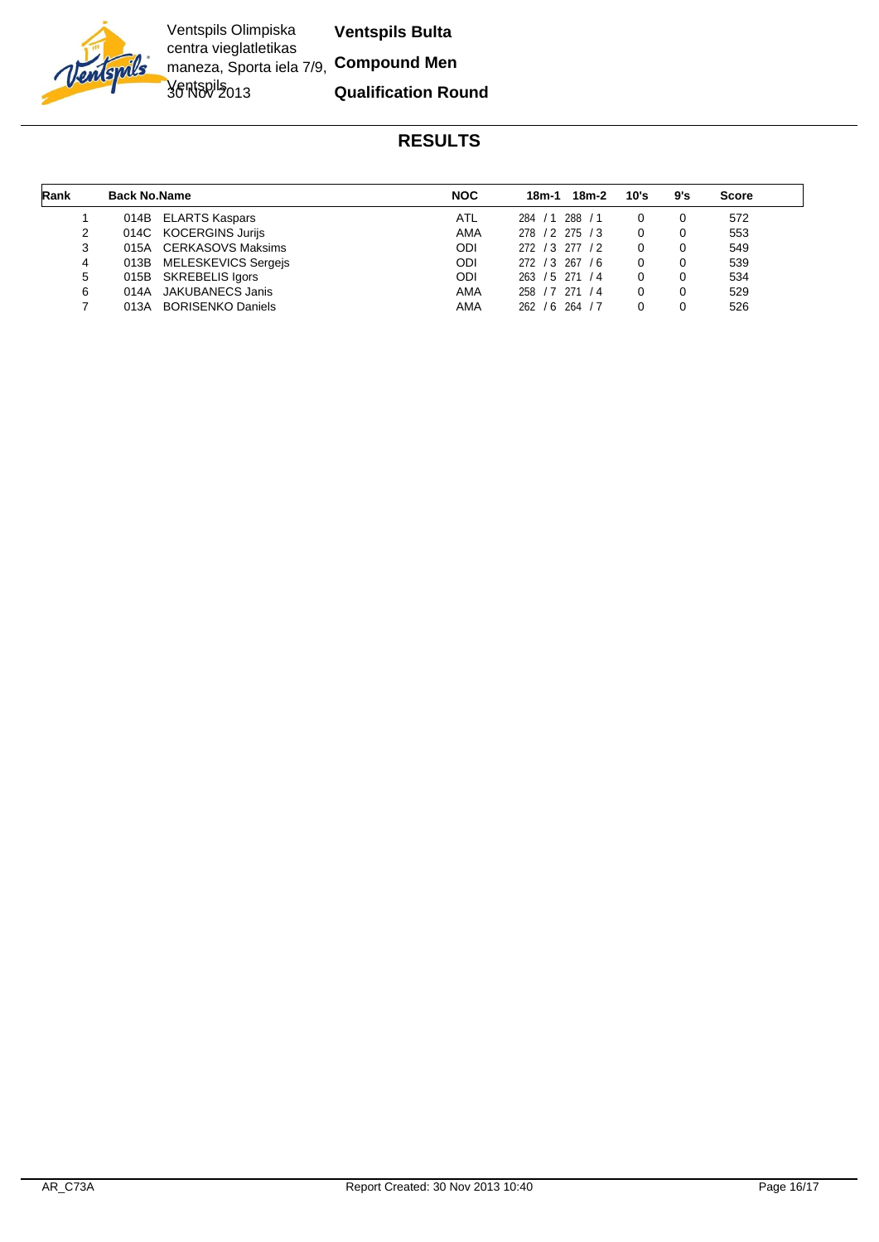

Ventspils Olimpiska centra vieglatletikas maneza, Sporta iela 7/9, **Compound Men** Ventspils 013 **Ventspils Bulta**

**Qualification Round**

| Rank | <b>Back No.Name</b> |                          | <b>NOC</b> | 18m-2<br>18m-1       | 10's | 9's | <b>Score</b> |
|------|---------------------|--------------------------|------------|----------------------|------|-----|--------------|
|      |                     | 014B ELARTS Kaspars      | ATL        | 284 / 1 288 / 1      |      |     | 572          |
| 2    |                     | 014C KOCERGINS Jurijs    | AMA        | 278 / 2 275 / 3      |      |     | 553          |
| 3    |                     | 015A CERKASOVS Maksims   | ODI        | 272 / 3 277 / 2      |      |     | 549          |
| 4    |                     | 013B MELESKEVICS Sergejs | ODI        | 272 / 3 267 / 6      |      |     | 539          |
| 5    |                     | 015B SKREBELIS Igors     | ODI        | 263 / 5 271 / 4      |      |     | 534          |
| 6    | 014A                | JAKUBANECS Janis         | AMA        | 271<br>258 / 7<br>/4 |      |     | 529          |
|      | 013A                | <b>BORISENKO Daniels</b> | AMA        | 262 / 6 264 / 7      |      |     | 526          |